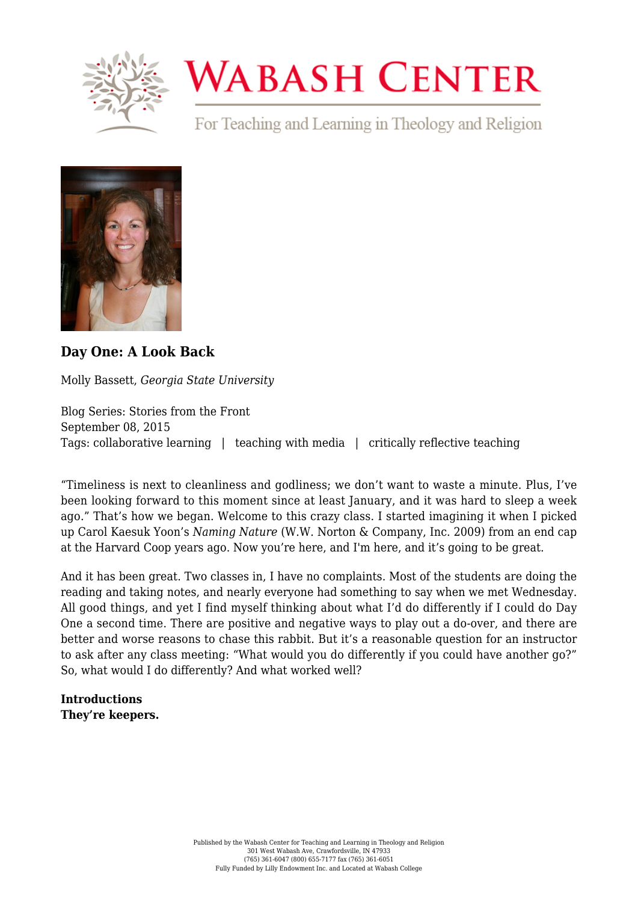

# **WABASH CENTER**

For Teaching and Learning in Theology and Religion



## **[Day One: A Look Back](https://www.wabashcenter.wabash.edu/2015/09/day-one-a-look-back/)**

Molly Bassett, *Georgia State University*

Blog Series: Stories from the Front September 08, 2015 Tags: collaborative learning | teaching with media | critically reflective teaching

"Timeliness is next to cleanliness and godliness; we don't want to waste a minute. Plus, I've been looking forward to this moment since at least January, and it was hard to sleep a week ago." That's how we began. Welcome to this crazy class. I started imagining it when I picked up Carol Kaesuk Yoon's *[Naming Nature](https://books.google.com/books?id=BDqODbjKF-AC&lpg=PR4&dq=carol%20yoon&pg=PP1#v=onepage&q&f=false)* (W.W. Norton & Company, Inc. 2009) from an end cap at the Harvard Coop years ago. Now you're here, and I'm here, and it's going to be great.

And it has been great. Two classes in, I have no complaints. Most of the students are doing the reading and taking notes, and nearly everyone had something to say when we met Wednesday. All good things, and yet I find myself thinking about what I'd do differently if I could do Day One a second time. There are positive and negative ways to play out a do-over, and there are better and worse reasons to chase this rabbit. But it's a reasonable question for an instructor to ask after any class meeting: "What would you do differently if you could have another go?" So, what would I do differently? And what worked well?

**Introductions They're keepers.**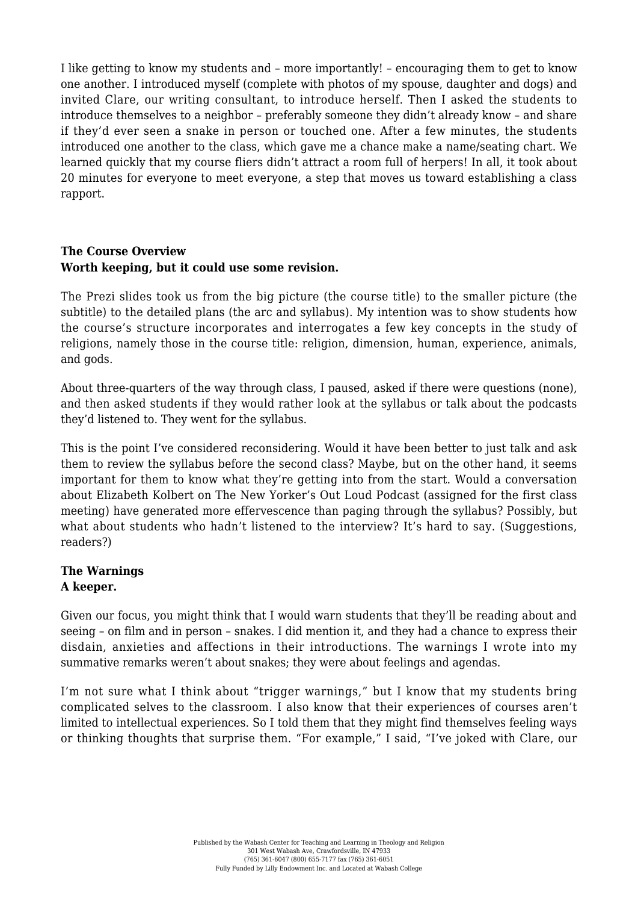I like getting to know my students and – more importantly! – encouraging them to get to know one another. I introduced myself (complete with photos of my spouse, daughter and dogs) and invited Clare, our writing consultant, to introduce herself. Then I asked the students to introduce themselves to a neighbor – preferably someone they didn't already know – and share if they'd ever seen a snake in person or touched one. After a few minutes, the students introduced one another to the class, which gave me a chance make a name/seating chart. We learned quickly that my course fliers didn't attract a room full of [herpers!](https://en.wikipedia.org/wiki/Herping) In all, it took about 20 minutes for everyone to meet everyone, a step that moves us toward establishing a class rapport.

#### **The Course Overview Worth keeping, but it could use some revision.**

The Prezi slides took us from the big picture (the course title) to the smaller picture (the subtitle) to the detailed plans (the arc and syllabus). My intention was to show students how the course's structure incorporates and interrogates a few key concepts in the study of religions, namely those in the course title: religion, dimension, human, experience, animals, and gods.

About three-quarters of the way through class, I paused, asked if there were questions (none), and then asked students if they would rather look at the syllabus or talk about the podcasts they'd listened to. They went for the syllabus.

This is the point I've considered reconsidering. Would it have been better to just talk and ask them to review the syllabus before the second class? Maybe, but on the other hand, it seems important for them to know what they're getting into from the start. Would a conversation about Elizabeth Kolbert on The New Yorker's [Out Loud Podcast](http://www.newyorker.com/podcast) (assigned for the first class meeting) have generated more effervescence than paging through the syllabus? Possibly, but what about students who hadn't listened to the interview? It's hard to say. (Suggestions, readers?)

# **The Warnings**

### **A keeper.**

Given our focus, you might think that I would warn students that they'll be reading about and seeing – on film and in person – snakes. I did mention it, and they had a chance to express their disdain, anxieties and affections in their introductions. The warnings I wrote into my summative remarks weren't about snakes; they were about feelings and agendas.

I'm not sure what I think about "[trigger warnings,](http://chronicle.com/blogs/conversation/2014/03/10/trigger-warnings-trigger-me/)" but I know that my students bring complicated selves to the classroom. I also know that their experiences of courses aren't limited to intellectual experiences. So I told them that they might find themselves feeling ways or thinking thoughts that surprise them. "For example," I said, "I've joked with Clare, our